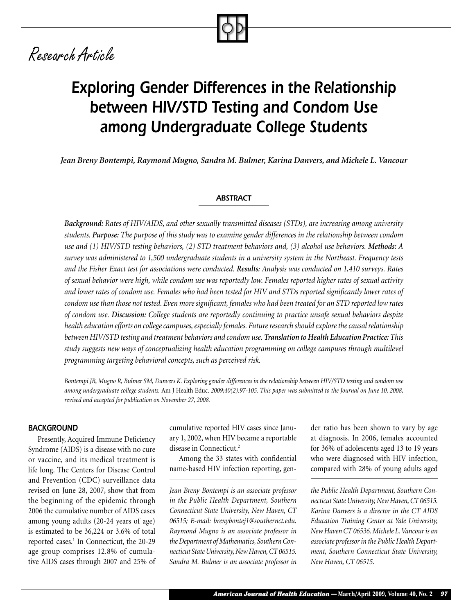# *Research Article*

# *Exploring Gender Differences in the Relationship between HIV/STD Testing and Condom Use among Undergraduate College Students*

*Jean Breny Bontempi, Raymond Mugno, Sandra M. Bulmer, Karina Danvers, and Michele L. Vancour* 

#### *ABSTRACT*

*Background: Rates of HIV/AIDS, and other sexually transmitted diseases (STDs), are increasing among university students. Purpose: The purpose of this study was to examine gender differences in the relationship between condom use and (1) HIV/STD testing behaviors, (2) STD treatment behaviors and, (3) alcohol use behaviors. Methods: A survey was administered to 1,500 undergraduate students in a university system in the Northeast. Frequency tests and the Fisher Exact test for associations were conducted. Results: Analysis was conducted on 1,410 surveys. Rates of sexual behavior were high, while condom use was reportedly low. Females reported higher rates of sexual activity and lower rates of condom use. Females who had been tested for HIV and STDs reported significantly lower rates of condom use than those not tested. Even more significant, females who had been treated for an STD reported low rates of condom use. Discussion: College students are reportedly continuing to practice unsafe sexual behaviors despite health education efforts on college campuses, especially females. Future research should explore the causal relationship between HIV/STD testing and treatment behaviors and condom use. Translation to Health Education Practice: This study suggests new ways of conceptualizing health education programming on college campuses through multilevel programming targeting behavioral concepts, such as perceived risk.*

*Bontempi JB, Mugno R, Bulmer SM, Danvers K. Exploring gender differences in the relationship between HIV/STD testing and condom use among undergraduate college students.* Am J Health Educ. *2009;40(2):97-105. This paper was submitted to the Journal on June 10, 2008, revised and accepted for publication on November 27, 2008.*

#### *BACKGROUND*

Presently, Acquired Immune Deficiency Syndrome (AIDS) is a disease with no cure or vaccine, and its medical treatment is life long. The Centers for Disease Control and Prevention (CDC) surveillance data revised on June 28, 2007, show that from the beginning of the epidemic through 2006 the cumulative number of AIDS cases among young adults (20-24 years of age) is estimated to be 36,224 or 3.6% of total reported cases.<sup>1</sup> In Connecticut, the 20-29 age group comprises 12.8% of cumulative AIDS cases through 2007 and 25% of

cumulative reported HIV cases since January 1, 2002, when HIV became a reportable disease in Connecticut.<sup>2</sup>

Among the 33 states with confidential name-based HIV infection reporting, gen-

*Jean Breny Bontempi is an associate professor in the Public Health Department, Southern Connecticut State University, New Haven, CT 06515; E-mail: brenybontej1@southernct.edu. Raymond Mugno is an associate professor in the Department of Mathematics, Southern Connecticut State University, New Haven, CT 06515. Sandra M. Bulmer is an associate professor in* 

der ratio has been shown to vary by age at diagnosis. In 2006, females accounted for 36% of adolescents aged 13 to 19 years who were diagnosed with HIV infection, compared with 28% of young adults aged

*the Public Health Department, Southern Connecticut State University, New Haven, CT 06515. Karina Danvers is a director in the CT AIDS Education Training Center at Yale University, New Haven CT 06536. Michele L. Vancour is an associate professor in the Public Health Department, Southern Connecticut State University, New Haven, CT 06515.*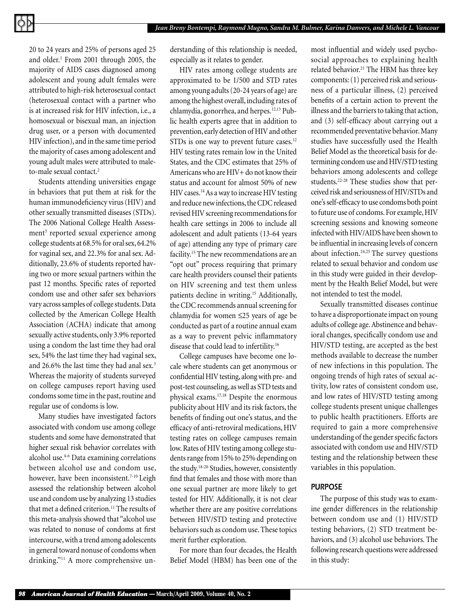20 to 24 years and 25% of persons aged 25 and older.<sup>1</sup> From 2001 through 2005, the majority of AIDS cases diagnosed among adolescent and young adult females were attributed to high-risk heterosexual contact (heterosexual contact with a partner who is at increased risk for HIV infection, i.e., a homosexual or bisexual man, an injection drug user, or a person with documented HIV infection), and in the same time period the majority of cases among adolescent and young adult males were attributed to maleto-male sexual contact.<sup>2</sup>

Students attending universities engage in behaviors that put them at risk for the human immunodeficiency virus (HIV) and other sexually transmitted diseases (STDs). The 2006 National College Health Assessment<sup>3</sup> reported sexual experience among college students at 68.5% for oral sex, 64.2% for vaginal sex, and 22.3% for anal sex. Additionally, 23.6% of students reported having two or more sexual partners within the past 12 months. Specific rates of reported condom use and other safer sex behaviors vary across samples of college students. Data collected by the American College Health Association (ACHA) indicate that among sexually active students, only 3.9% reported using a condom the last time they had oral sex, 54% the last time they had vaginal sex, and 26.6% the last time they had anal sex.<sup>3</sup> Whereas the majority of students surveyed on college campuses report having used condoms some time in the past, routine and regular use of condoms is low.

Many studies have investigated factors associated with condom use among college students and some have demonstrated that higher sexual risk behavior correlates with alcohol use.4-6 Data examining correlations between alcohol use and condom use, however, have been inconsistent.<sup>7-10</sup> Leigh assessed the relationship between alcohol use and condom use by analyzing 13 studies that met a defined criterion.<sup>11</sup> The results of this meta-analysis showed that "alcohol use was related to nonuse of condoms at first intercourse, with a trend among adolescents in general toward nonuse of condoms when drinking."11 A more comprehensive understanding of this relationship is needed, especially as it relates to gender.

HIV rates among college students are approximated to be 1/500 and STD rates among young adults (20-24 years of age) are among the highest overall, including rates of chlamydia, gonorrhea, and herpes.<sup>12,13</sup> Public health experts agree that in addition to prevention, early detection of HIV and other STDs is one way to prevent future cases.<sup>12</sup> HIV testing rates remain low in the United States, and the CDC estimates that 25% of Americans who are HIV+ do not know their status and account for almost 50% of new HIV cases.14 As a way to increase HIV testing and reduce new infections, the CDC released revised HIV screening recommendations for health care settings in 2006 to include all adolescent and adult patients (13-64 years of age) attending any type of primary care facility.15 The new recommendations are an "opt out" process requiring that primary care health providers counsel their patients on HIV screening and test them unless patients decline in writing.15 Additionally, the CDC recommends annual screening for chlamydia for women ≤25 years of age be conducted as part of a routine annual exam as a way to prevent pelvic inflammatory disease that could lead to infertility.16

College campuses have become one locale where students can get anonymous or confidential HIV testing, along with pre- and post-test counseling, as well as STD tests and physical exams.17,18 Despite the enormous publicity about HIV and its risk factors, the benefits of finding out one's status, and the efficacy of anti-retroviral medications, HIV testing rates on college campuses remain low. Rates of HIV testing among college students range from 15% to 25% depending on the study.18-20 Studies, however, consistently find that females and those with more than one sexual partner are more likely to get tested for HIV. Additionally, it is not clear whether there are any positive correlations between HIV/STD testing and protective behaviors such as condom use. These topics merit further exploration.

For more than four decades, the Health belief Model (HbM) has been one of the most influential and widely used psychosocial approaches to explaining health related behavior.<sup>21</sup> The HBM has three key components: (1) perceived risk and seriousness of a particular illness, (2) perceived benefits of a certain action to prevent the illness and the barriers to taking that action, and (3) self-efficacy about carrying out a recommended preventative behavior. Many studies have successfully used the Health belief Model as the theoretical basis for determining condom use and HIV/STD testing behaviors among adolescents and college students.<sup>22-28</sup> These studies show that perceived risk and seriousness of HIV/STDs and one's self-efficacy to use condoms both point to future use of condoms. For example, HIV screening sessions and knowing someone infected with HIV/AIDS have been shown to be influential in increasing levels of concern about infection.24,25 The survey questions related to sexual behavior and condom use in this study were guided in their development by the Health belief Model, but were not intended to test the model.

Sexually transmitted diseases continue to have a disproportionate impact on young adults of college age. Abstinence and behavioral changes, specifically condom use and HIV/STD testing, are accepted as the best methods available to decrease the number of new infections in this population. The ongoing trends of high rates of sexual activity, low rates of consistent condom use, and low rates of HIV/STD testing among college students present unique challenges to public health practitioners. Efforts are required to gain a more comprehensive understanding of the gender specific factors associated with condom use and HIV/STD testing and the relationship between these variables in this population.

### *PURPOSE*

The purpose of this study was to examine gender differences in the relationship between condom use and (1) HIV/STD testing behaviors, (2) STD treatment behaviors, and (3) alcohol use behaviors. The following research questions were addressed in this study: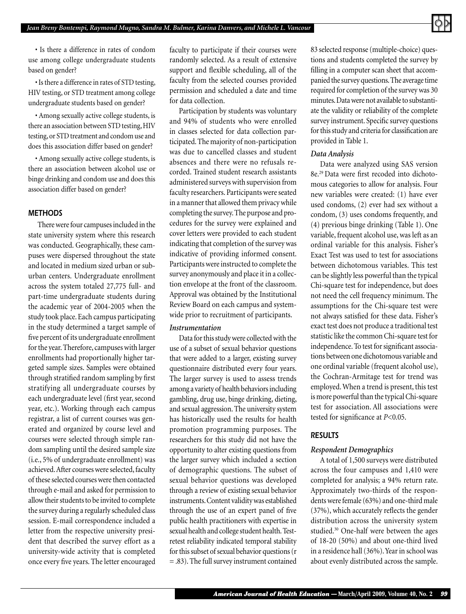

• Is there a difference in rates of condom use among college undergraduate students based on gender?

• Is there a difference in rates of STD testing, HIV testing, or STD treatment among college undergraduate students based on gender?

• Among sexually active college students, is there an association between STD testing, HIV testing, or STD treatment and condom use and does this association differ based on gender?

• Among sexually active college students, is there an association between alcohol use or binge drinking and condom use and does this association differ based on gender?

#### *METHODS*

There were four campuses included in the state university system where this research was conducted. Geographically, these campuses were dispersed throughout the state and located in medium sized urban or suburban centers. Undergraduate enrollment across the system totaled 27,775 full- and part-time undergraduate students during the academic year of 2004-2005 when the study took place. Each campus participating in the study determined a target sample of five percent of its undergraduate enrollment for the year. Therefore, campuses with larger enrollments had proportionally higher targeted sample sizes. Samples were obtained through stratified random sampling by first stratifying all undergraduate courses by each undergraduate level (first year, second year, etc.). Working through each campus registrar, a list of current courses was generated and organized by course level and courses were selected through simple random sampling until the desired sample size (i.e., 5% of undergraduate enrollment) was achieved. After courses were selected, faculty of these selected courses were then contacted through e-mail and asked for permission to allow their students to be invited to complete the survey during a regularly scheduled class session. E-mail correspondence included a letter from the respective university president that described the survey effort as a university-wide activity that is completed once every five years. The letter encouraged faculty to participate if their courses were randomly selected. As a result of extensive support and flexible scheduling, all of the faculty from the selected courses provided permission and scheduled a date and time for data collection.

Participation by students was voluntary and 94% of students who were enrolled in classes selected for data collection participated. The majority of non-participation was due to cancelled classes and student absences and there were no refusals recorded. Trained student research assistants administered surveys with supervision from faculty researchers. Participants were seated in a manner that allowed them privacy while completing the survey. The purpose and procedures for the survey were explained and cover letters were provided to each student indicating that completion of the survey was indicative of providing informed consent. Participants were instructed to complete the survey anonymously and place it in a collection envelope at the front of the classroom. Approval was obtained by the Institutional Review board on each campus and systemwide prior to recruitment of participants.

#### *Instrumentation*

Data for this study were collected with the use of a subset of sexual behavior questions that were added to a larger, existing survey questionnaire distributed every four years. The larger survey is used to assess trends among a variety of health behaviors including gambling, drug use, binge drinking, dieting, and sexual aggression. The university system has historically used the results for health promotion programming purposes. The researchers for this study did not have the opportunity to alter existing questions from the larger survey which included a section of demographic questions. The subset of sexual behavior questions was developed through a review of existing sexual behavior instruments. Content validity was established through the use of an expert panel of five public health practitioners with expertise in sexual health and college student health. Testretest reliability indicated temporal stability for this subset of sexual behavior questions (r = .83). The full survey instrument contained

83 selected response (multiple-choice) questions and students completed the survey by filling in a computer scan sheet that accompanied the survey questions. The average time required for completion of the survey was 30 minutes. Data were not available to substantiate the validity or reliability of the complete survey instrument. Specific survey questions for this study and criteria for classification are provided in Table 1.

#### *Data Analysis*

Data were analyzed using SAS version 8e.29 Data were first recoded into dichotomous categories to allow for analysis. Four new variables were created: (1) have ever used condoms, (2) ever had sex without a condom, (3) uses condoms frequently, and (4) previous binge drinking (Table 1). One variable, frequent alcohol use, was left as an ordinal variable for this analysis. Fisher's Exact Test was used to test for associations between dichotomous variables. This test can be slightly less powerful than the typical Chi-square test for independence, but does not need the cell frequency minimum. The assumptions for the Chi-square test were not always satisfied for these data. Fisher's exact test does not produce a traditional test statistic like the common Chi-square test for independence. To test for significant associations between one dichotomous variable and one ordinal variable (frequent alcohol use), the Cochran-Armitage test for trend was employed. When a trend is present, this test is more powerful than the typical Chi-square test for association. All associations were tested for significance at *P*<0.05.

## *RESULTS*

#### *Respondent Demographics*

A total of 1,500 surveys were distributed across the four campuses and 1,410 were completed for analysis; a 94% return rate. Approximately two-thirds of the respondents were female (63%) and one-third male (37%), which accurately reflects the gender distribution across the university system studied.<sup>30</sup> One-half were between the ages of 18-20 (50%) and about one-third lived in a residence hall (36%). Year in school was about evenly distributed across the sample.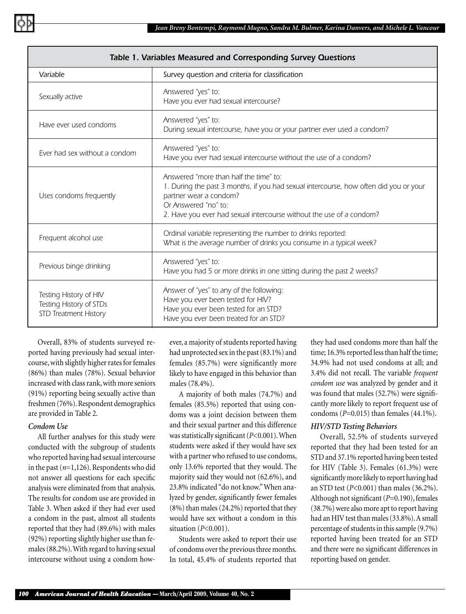| Table 1. Variables Measured and Corresponding Survey Questions             |                                                                                                                                                                                                                                                           |  |  |
|----------------------------------------------------------------------------|-----------------------------------------------------------------------------------------------------------------------------------------------------------------------------------------------------------------------------------------------------------|--|--|
| Variable                                                                   | Survey question and criteria for classification                                                                                                                                                                                                           |  |  |
| Sexually active                                                            | Answered "yes" to:<br>Have you ever had sexual intercourse?                                                                                                                                                                                               |  |  |
| Have ever used condoms                                                     | Answered "yes" to:<br>During sexual intercourse, have you or your partner ever used a condom?                                                                                                                                                             |  |  |
| Ever had sex without a condom                                              | Answered "yes" to:<br>Have you ever had sexual intercourse without the use of a condom?                                                                                                                                                                   |  |  |
| Uses condoms frequently                                                    | Answered "more than half the time" to:<br>1. During the past 3 months, if you had sexual intercourse, how often did you or your<br>partner wear a condom?<br>Or Answered "no" to:<br>2. Have you ever had sexual intercourse without the use of a condom? |  |  |
| Frequent alcohol use                                                       | Ordinal variable representing the number to drinks reported:<br>What is the average number of drinks you consume in a typical week?                                                                                                                       |  |  |
| Previous binge drinking                                                    | Answered "yes" to:<br>Have you had 5 or more drinks in one sitting during the past 2 weeks?                                                                                                                                                               |  |  |
| Testing History of HIV<br>Testing History of STDs<br>STD Treatment History | Answer of "yes" to any of the following:<br>Have you ever been tested for HIV?<br>Have you ever been tested for an STD?<br>Have you ever been treated for an STD?                                                                                         |  |  |

Overall, 83% of students surveyed reported having previously had sexual intercourse, with slightly higher rates for females (86%) than males (78%). Sexual behavior increased with class rank, with more seniors (91%) reporting being sexually active than freshmen (76%). Respondent demographics are provided in Table 2.

## *Condom Use*

All further analyses for this study were conducted with the subgroup of students who reported having had sexual intercourse in the past (*n*=1,126). Respondents who did not answer all questions for each specific analysis were eliminated from that analysis. The results for condom use are provided in Table 3. When asked if they had ever used a condom in the past, almost all students reported that they had (89.6%) with males (92%) reporting slightly higher use than females (88.2%). With regard to having sexual intercourse without using a condom however, a majority of students reported having had unprotected sex in the past (83.1%) and females (85.7%) were significantly more likely to have engaged in this behavior than males (78.4%).

A majority of both males (74.7%) and females (85.5%) reported that using condoms was a joint decision between them and their sexual partner and this difference was statistically significant (*P*<0.001). When students were asked if they would have sex with a partner who refused to use condoms, only 13.6% reported that they would. The majority said they would not (62.6%), and 23.8% indicated "do not know." When analyzed by gender, significantly fewer females (8%) than males (24.2%) reported that they would have sex without a condom in this situation (*P*<0.001).

Students were asked to report their use of condoms over the previous three months. In total, 45.4% of students reported that

they had used condoms more than half the time; 16.3% reported less than half the time; 34.9% had not used condoms at all; and 3.4% did not recall. The variable *frequent condom use* was analyzed by gender and it was found that males (52.7%) were significantly more likely to report frequent use of condoms (*P*=0.015) than females (44.1%).

### *HIV/STD Testing Behaviors*

Overall, 52.5% of students surveyed reported that they had been tested for an STD and 37.1% reported having been tested for HIV (Table 3). Females (61.3%) were significantly more likely to report having had an STD test (*P*<0.001) than males (36.2%). Although not significant ( $P=0.190$ ), females (38.7%) were also more apt to report having had an HIV test than males (33.8%). A small percentage of students in this sample (9.7%) reported having been treated for an STD and there were no significant differences in reporting based on gender.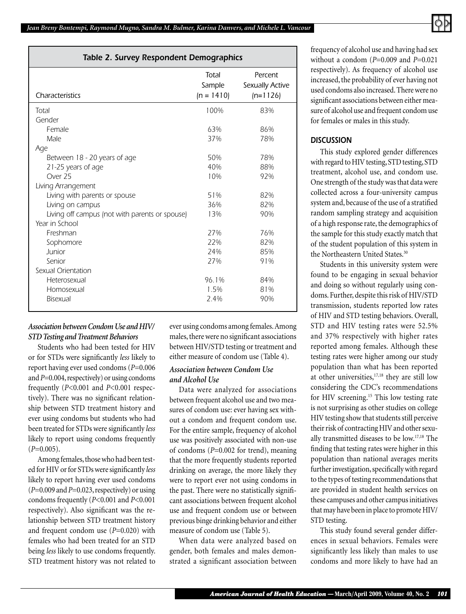### *Table 2. Survey Respondent Demographics*

| Characteristics                                | Total<br>Sample<br>$(n = 1410)$ | Percent<br><b>Sexually Active</b><br>$(n=1126)$ |
|------------------------------------------------|---------------------------------|-------------------------------------------------|
| Total                                          | 100%                            | 83%                                             |
| Gender                                         |                                 |                                                 |
| Female                                         | 63%                             | 86%                                             |
| Male                                           | 37%                             | 78%                                             |
| Age                                            |                                 |                                                 |
| Between 18 - 20 years of age                   | 50%                             | 78%                                             |
| 21-25 years of age                             | 40%                             | 88%                                             |
| Over 25                                        | 10%                             | 92%                                             |
| Living Arrangement                             |                                 |                                                 |
| Living with parents or spouse                  | 51%                             | 82%                                             |
| Living on campus                               | 36%                             | 82%                                             |
| Living off campus (not with parents or spouse) | 13%                             | 90%                                             |
| Year in School                                 |                                 |                                                 |
| Freshman                                       | 27%                             | 76%                                             |
| Sophomore                                      | 22%                             | 82%                                             |
| Junior                                         | 24%                             | 85%                                             |
| Senior                                         | 27%                             | 91%                                             |
| Sexual Orientation                             |                                 |                                                 |
| Heterosexual                                   | 96.1%                           | 84%                                             |
| Homosexual                                     | 1.5%                            | 81%                                             |
| Bisexual                                       | 2.4%                            | 90%                                             |

## *Association between Condom Use and HIV/ STD Testing and Treatment Behaviors*

Students who had been tested for HIV or for STDs were significantly *less* likely to report having ever used condoms (*P*=0.006 and *P*=0.004, respectively) or using condoms frequently (*P*<0.001 and *P*<0.001 respectively). There was no significant relationship between STD treatment history and ever using condoms but students who had been treated for STDs were significantly *less* likely to report using condoms frequently  $(P=0.005)$ .

Among females, those who had been tested for HIV or for STDs were significantly *less* likely to report having ever used condoms (*P*=0.009 and *P*=0.023, respectively) or using condoms frequently (*P*<0.001 and *P*<0.001 respectively). Also significant was the relationship between STD treatment history and frequent condom use (*P*=0.020) with females who had been treated for an STD being *less* likely to use condoms frequently. STD treatment history was not related to

ever using condoms among females. Among males, there were no significant associations between HIV/STD testing or treatment and either measure of condom use (Table 4).

## *Association between Condom Use and Alcohol Use*

Data were analyzed for associations between frequent alcohol use and two measures of condom use: ever having sex without a condom and frequent condom use. For the entire sample, frequency of alcohol use was positively associated with non-use of condoms (*P=*0.002 for trend), meaning that the more frequently students reported drinking on average, the more likely they were to report ever not using condoms in the past. There were no statistically significant associations between frequent alcohol use and frequent condom use or between previous binge drinking behavior and either measure of condom use (Table 5).

When data were analyzed based on gender, both females and males demonstrated a significant association between frequency of alcohol use and having had sex without a condom (*P*=0.009 and *P*=0.021 respectively). As frequency of alcohol use increased, the probability of ever having not used condoms also increased. There were no significant associations between either measure of alcohol use and frequent condom use for females or males in this study.

## *DISCUSSION*

This study explored gender differences with regard to HIV testing, STD testing, STD treatment, alcohol use, and condom use. One strength of the study was that data were collected across a four-university campus system and, because of the use of a stratified random sampling strategy and acquisition of a high response rate, the demographics of the sample for this study exactly match that of the student population of this system in the Northeastern United States.<sup>30</sup>

Students in this university system were found to be engaging in sexual behavior and doing so without regularly using condoms. Further, despite this risk of HIV/STD transmission, students reported low rates of HIV and STD testing behaviors. Overall, STD and HIV testing rates were 52.5% and 37% respectively with higher rates reported among females. Although these testing rates were higher among our study population than what has been reported at other universities,17,18 they are still low considering the CDC's recommendations for HIV screening.<sup>15</sup> This low testing rate is not surprising as other studies on college HIV testing show that students still perceive their risk of contracting HIV and other sexually transmitted diseases to be low.17,18 The finding that testing rates were higher in this population than national averages merits further investigation, specifically with regard to the types of testing recommendations that are provided in student health services on these campuses and other campus initiatives that may have been in place to promote HIV/ STD testing.

This study found several gender differences in sexual behaviors. Females were significantly less likely than males to use condoms and more likely to have had an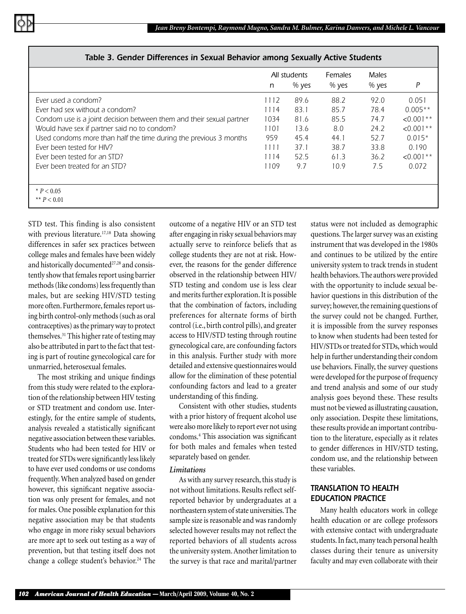

| Table 5. Genuel Diriefences in Sexual Denavior among Sexually Active Students |      |              |         |              |             |
|-------------------------------------------------------------------------------|------|--------------|---------|--------------|-------------|
|                                                                               |      | All students | Females | <b>Males</b> |             |
|                                                                               | n    | % yes        | % yes   | % yes        | P           |
| Ever used a condom?                                                           | 1112 | 89.6         | 88.2    | 92.0         | 0.051       |
| Ever had sex without a condom?                                                | 1114 | 83.1         | 85.7    | 78.4         | $0.005**$   |
| Condom use is a joint decision between them and their sexual partner          | 1034 | 81.6         | 85.5    | 74.7         | $< 0.001**$ |
| Would have sex if partner said no to condom?                                  | 1101 | 13.6         | 8.0     | 24.2         | $< 0.001**$ |
| Used condoms more than half the time during the previous 3 months             | 959  | 45.4         | 44.1    | 52.7         | $0.015*$    |
| Ever been tested for HIV?                                                     | 1111 | 37.1         | 38.7    | 33.8         | 0.190       |
| Ever been tested for an STD?                                                  | 1114 | 52.5         | 61.3    | 36.2         | $< 0.001**$ |
| Ever been treated for an STD?                                                 | 1109 | 9.7          | 10.9    | 7.5          | 0.072       |
|                                                                               |      |              |         |              |             |
| $* P < 0.05$                                                                  |      |              |         |              |             |
| ** $P < 0.01$                                                                 |      |              |         |              |             |

| Table 3. Gender Differences in Sexual Behavior among Sexually Active Students |  |
|-------------------------------------------------------------------------------|--|
|-------------------------------------------------------------------------------|--|

STD test. This finding is also consistent with previous literature.<sup>17,18</sup> Data showing differences in safer sex practices between college males and females have been widely and historically documented<sup>27,28</sup> and consistently show that females report using barrier methods (like condoms) less frequently than males, but are seeking HIV/STD testing more often. Furthermore, females report using birth control-only methods (such as oral contraceptives) as the primary way to protect themselves.31 This higher rate of testing may also be attributed in part to the fact that testing is part of routine gynecological care for unmarried, heterosexual females.

The most striking and unique findings from this study were related to the exploration of the relationship between HIV testing or STD treatment and condom use. Interestingly, for the entire sample of students, analysis revealed a statistically significant negative association between these variables. Students who had been tested for HIV or treated for STDs were significantly less likely to have ever used condoms or use condoms frequently. When analyzed based on gender however, this significant negative association was only present for females, and not for males. One possible explanation for this negative association may be that students who engage in more risky sexual behaviors are more apt to seek out testing as a way of prevention, but that testing itself does not change a college student's behavior.<sup>24</sup> The

outcome of a negative HIV or an STD test after engaging in risky sexual behaviors may actually serve to reinforce beliefs that as college students they are not at risk. However, the reasons for the gender difference observed in the relationship between HIV/ STD testing and condom use is less clear and merits further exploration. It is possible that the combination of factors, including preferences for alternate forms of birth control (i.e., birth control pills), and greater access to HIV/STD testing through routine gynecological care, are confounding factors in this analysis. Further study with more detailed and extensive questionnaires would allow for the elimination of these potential confounding factors and lead to a greater understanding of this finding.

Consistent with other studies, students with a prior history of frequent alcohol use were also more likely to report ever not using condoms.4 This association was significant for both males and females when tested separately based on gender.

#### *Limitations*

As with any survey research, this study is not without limitations. Results reflect selfreported behavior by undergraduates at a northeastern system of state universities. The sample size is reasonable and was randomly selected however results may not reflect the reported behaviors of all students across the university system. Another limitation to the survey is that race and marital/partner status were not included as demographic questions. The larger survey was an existing instrument that was developed in the 1980s and continues to be utilized by the entire university system to track trends in student health behaviors. The authors were provided with the opportunity to include sexual behavior questions in this distribution of the survey; however, the remaining questions of the survey could not be changed. Further, it is impossible from the survey responses to know when students had been tested for HIV/STDs or treated for STDs, which would help in further understanding their condom use behaviors. Finally, the survey questions were developed for the purpose of frequency and trend analysis and some of our study analysis goes beyond these. These results must not be viewed as illustrating causation, only association. Despite these limitations, these results provide an important contribution to the literature, especially as it relates to gender differences in HIV/STD testing, condom use, and the relationship between these variables.

# *TRANSLATION TO HEALTH EDUCATION PRACTICE*

Many health educators work in college health education or are college professors with extensive contact with undergraduate students. In fact, many teach personal health classes during their tenure as university faculty and may even collaborate with their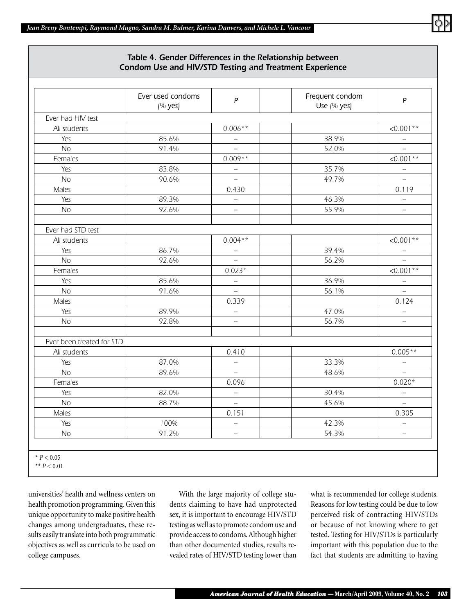

## *Table 4. Gender Differences in the Relationship between Condom Use and HIV/STD Testing and Treatment Experience*

|                           | Ever used condoms<br>(% yes) | P                        | Frequent condom<br>Use (% yes) | $\mathsf{P}$             |
|---------------------------|------------------------------|--------------------------|--------------------------------|--------------------------|
| Ever had HIV test         |                              |                          |                                |                          |
| All students              |                              | $0.006**$                |                                | ${<}0.001**$             |
| Yes                       | 85.6%                        | $\overline{\phantom{0}}$ | 38.9%                          | $\frac{1}{2}$            |
| <b>No</b>                 | 91.4%                        | $\overline{a}$           | 52.0%                          | $\overline{\phantom{0}}$ |
| Females                   |                              | $0.009**$                |                                | $< 0.001**$              |
| Yes                       | 83.8%                        | $\equiv$                 | 35.7%                          | $\overline{\phantom{a}}$ |
| <b>No</b>                 | 90.6%                        | $\equiv$                 | 49.7%                          | $\frac{1}{2}$            |
| Males                     |                              | 0.430                    |                                | 0.119                    |
| Yes                       | 89.3%                        | $\overline{a}$           | 46.3%                          | $\overline{\phantom{a}}$ |
| <b>No</b>                 | 92.6%                        | $\overline{\phantom{0}}$ | 55.9%                          | $\overline{\phantom{a}}$ |
| Ever had STD test         |                              |                          |                                |                          |
| All students              |                              | $0.004**$                |                                | ${<}0.001**$             |
| Yes                       | 86.7%                        | $\overline{\phantom{0}}$ | 39.4%                          | $\overline{\phantom{m}}$ |
| <b>No</b>                 | 92.6%                        | $\overline{\phantom{0}}$ | 56.2%                          | $\overline{\phantom{a}}$ |
| Females                   |                              | $0.023*$                 |                                | $< 0.001**$              |
| Yes                       | 85.6%                        | $\overline{\phantom{0}}$ | 36.9%                          | $\frac{1}{2}$            |
| <b>No</b>                 | 91.6%                        | $\qquad \qquad -$        | 56.1%                          | $\overline{\phantom{m}}$ |
| Males                     |                              | 0.339                    |                                | 0.124                    |
| Yes                       | 89.9%                        | $\overline{\phantom{m}}$ | 47.0%                          | $\frac{1}{2}$            |
| No                        | 92.8%                        | $\overline{\phantom{m}}$ | 56.7%                          | $\overline{\phantom{a}}$ |
| Ever been treated for STD |                              |                          |                                |                          |
| All students              |                              | 0.410                    |                                | $0.005**$                |
| Yes                       | 87.0%                        | $\overline{\phantom{0}}$ | 33.3%                          | $\frac{1}{2}$            |
| <b>No</b>                 | 89.6%                        | $\equiv$                 | 48.6%                          | $\overline{a}$           |
| Females                   |                              | 0.096                    |                                | $0.020*$                 |
| Yes                       | 82.0%                        | $\overline{\phantom{0}}$ | 30.4%                          | $\frac{1}{2}$            |
| <b>No</b>                 | 88.7%                        |                          | 45.6%                          |                          |
| Males                     |                              | 0.151                    |                                | 0.305                    |
| Yes                       | 100%                         | $\qquad \qquad -$        | 42.3%                          | $\qquad \qquad -$        |
| <b>No</b>                 | 91.2%                        | $\overline{\phantom{a}}$ | 54.3%                          | $\overline{\phantom{a}}$ |
|                           |                              |                          |                                |                          |

universities' health and wellness centers on health promotion programming. Given this unique opportunity to make positive health changes among undergraduates, these results easily translate into both programmatic objectives as well as curricula to be used on college campuses.

With the large majority of college students claiming to have had unprotected sex, it is important to encourage HIV/STD testing as well as to promote condom use and provide access to condoms. Although higher than other documented studies, results revealed rates of HIV/STD testing lower than what is recommended for college students. Reasons for low testing could be due to low perceived risk of contracting HIV/STDs or because of not knowing where to get tested. Testing for HIV/STDs is particularly important with this population due to the fact that students are admitting to having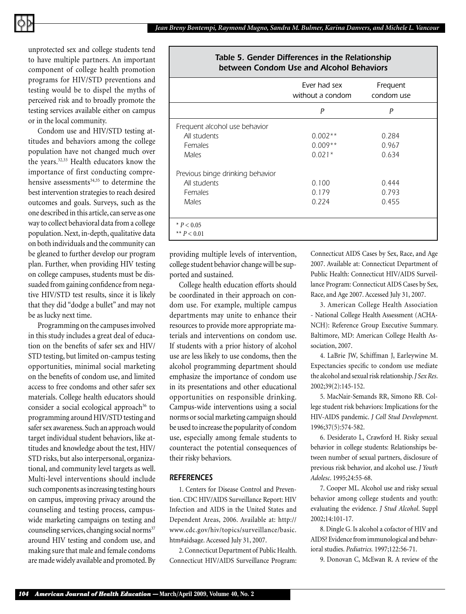*Table 5. Gender Differences in the Relationship* 

unprotected sex and college students tend to have multiple partners. An important component of college health promotion programs for HIV/STD preventions and testing would be to dispel the myths of perceived risk and to broadly promote the testing services available either on campus or in the local community.

Condom use and HIV/STD testing attitudes and behaviors among the college population have not changed much over the years.32,33 Health educators know the importance of first conducting comprehensive assessments<sup>34,35</sup> to determine the best intervention strategies to reach desired outcomes and goals. Surveys, such as the one described in this article, can serve as one way to collect behavioral data from a college population. Next, in-depth, qualitative data on both individuals and the community can be gleaned to further develop our program plan. Further, when providing HIV testing on college campuses, students must be dissuaded from gaining confidence from negative HIV/STD test results, since it is likely that they did "dodge a bullet" and may not be as lucky next time.

Programming on the campuses involved in this study includes a great deal of education on the benefits of safer sex and HIV/ STD testing, but limited on-campus testing opportunities, minimal social marketing on the benefits of condom use, and limited access to free condoms and other safer sex materials. College health educators should consider a social ecological approach<sup>36</sup> to programming around HIV/STD testing and safer sex awareness. Such an approach would target individual student behaviors, like attitudes and knowledge about the test, HIV/ STD risks, but also interpersonal, organizational, and community level targets as well. Multi-level interventions should include such components as increasing testing hours on campus, improving privacy around the counseling and testing process, campuswide marketing campaigns on testing and counseling services, changing social norms<sup>37</sup> around HIV testing and condom use, and making sure that male and female condoms are made widely available and promoted. by

| between Condom Use and Alcohol Behaviors |                                  |                        |  |
|------------------------------------------|----------------------------------|------------------------|--|
|                                          | Ever had sex<br>without a condom | Frequent<br>condom use |  |
|                                          | P                                | P                      |  |
| Frequent alcohol use behavior            |                                  |                        |  |
| All students                             | $0.002**$                        | 0.284                  |  |
| Females                                  | $0.009**$                        | 0.967                  |  |
| <b>Males</b>                             | $0.021*$                         | 0.634                  |  |
| Previous binge drinking behavior         |                                  |                        |  |
| All students                             | 0.100                            | 0.444                  |  |
| Females                                  | 0.179                            | 0.793                  |  |
| <b>Males</b>                             | 0.224                            | 0.455                  |  |
|                                          |                                  |                        |  |
| $* P < 0.05$                             |                                  |                        |  |
| ** $P < 0.01$                            |                                  |                        |  |

providing multiple levels of intervention, college student behavior change will be supported and sustained.

College health education efforts should be coordinated in their approach on condom use. For example, multiple campus departments may unite to enhance their resources to provide more appropriate materials and interventions on condom use. If students with a prior history of alcohol use are less likely to use condoms, then the alcohol programming department should emphasize the importance of condom use in its presentations and other educational opportunities on responsible drinking. Campus-wide interventions using a social norms or social marketing campaign should be used to increase the popularity of condom use, especially among female students to counteract the potential consequences of their risky behaviors.

#### *REFERENCES*

1. Centers for Disease Control and Prevention. CDC HIV/AIDS Surveillance Report: HIV Infection and AIDS in the United States and Dependent Areas, 2006. Available at: http:// www.cdc.gov/hiv/topics/surveillance/basic. htm#aidsage. Accessed July 31, 2007.

2. Connecticut Department of Public Health. Connecticut HIV/AIDS Surveillance Program:

Connecticut AIDS Cases by Sex, Race, and Age 2007. Available at: Connecticut Department of Public Health: Connecticut HIV/AIDS Surveillance Program: Connecticut AIDS Cases by Sex, Race, and Age 2007. Accessed July 31, 2007.

3. American College Health Association - National College Health Assessment (ACHA-NCH): Reference Group Executive Summary. baltimore, MD: American College Health Association, 2007.

4. Labrie JW, Schiffman J, Earleywine M. Expectancies specific to condom use mediate the alcohol and sexual risk relationship. *J Sex Res*. 2002;39(2):145-152.

5. MacNair-Semands RR, Simono Rb. College student risk behaviors: Implications for the HIV-AIDS pandemic. *J Coll Stud Development*. 1996;37(5):574-582.

6. Desiderato L, Crawford H. Risky sexual behavior in college students: Relationships between number of sexual partners, disclosure of previous risk behavior, and alcohol use. *J Youth Adolesc*. 1995;24:55-68.

7. Cooper ML. Alcohol use and risky sexual behavior among college students and youth: evaluating the evidence. *J Stud Alcohol*. Suppl 2002;14:101-17.

8. Dingle G. Is alcohol a cofactor of HIV and AIDS? Evidence from immunological and behavioral studies. *Pediatrics.* 1997;122:56-71.

9. Donovan C, McEwan R. A review of the